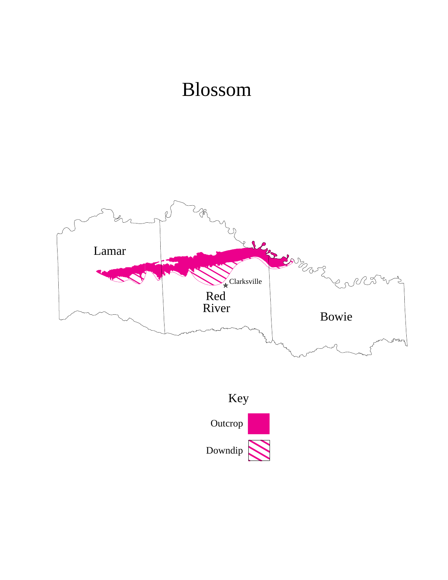## Blossom